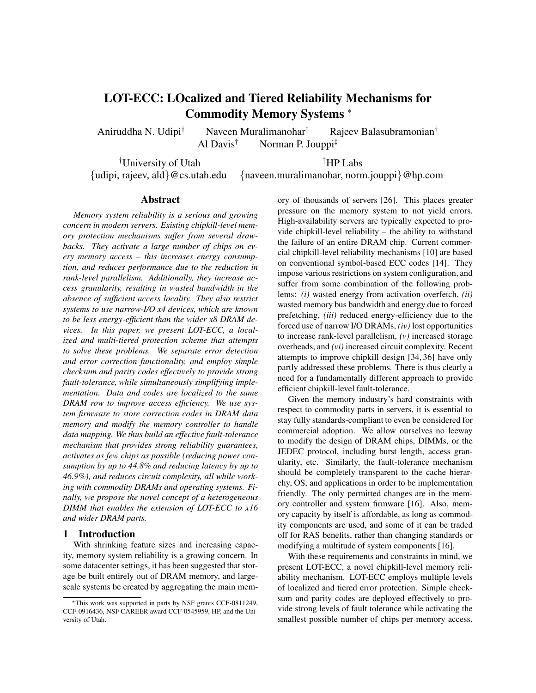# **LOT-ECC: LOcalized and Tiered Reliability Mechanisms for Commodity Memory Systems** <sup>∗</sup>

Aniruddha N. Udipi<sup>†</sup> Naveen Muralimanohar<sup>‡</sup> Rajeev Balasubramonian<sup>†</sup>

Al Davis<sup>†</sup> Norman P. Jouppi<sup>‡</sup>

†University of Utah ‡HP Labs

{udipi, rajeev, ald}@cs.utah.edu {naveen.muralimanohar, norm.jouppi}@hp.com

# **Abstract**

*Memory system reliability is a serious and growing concern in modern servers. Existing chipkill-level memory protection mechanisms suffer from several drawbacks. They activate a large number of chips on every memory access – this increases energy consumption, and reduces performance due to the reduction in rank-level parallelism. Additionally, they increase access granularity, resulting in wasted bandwidth in the absence of sufficient access locality. They also restrict systems to use narrow-I/O x4 devices, which are known to be less energy-efficient than the wider x8 DRAM devices. In this paper, we present LOT-ECC, a localized and multi-tiered protection scheme that attempts to solve these problems. We separate error detection and error correction functionality, and employ simple checksum and parity codes effectively to provide strong fault-tolerance, while simultaneously simplifying implementation. Data and codes are localized to the same DRAM row to improve access efficiency. We use system firmware to store correction codes in DRAM data memory and modify the memory controller to handle data mapping. We thus build an effective fault-tolerance mechanism that provides strong reliability guarantees, activates as few chips as possible (reducing power consumption by up to 44.8% and reducing latency by up to 46.9%), and reduces circuit complexity, all while working with commodity DRAMs and operating systems. Finally, we propose the novel concept of a heterogeneous DIMM that enables the extension of LOT-ECC to x16 and wider DRAM parts.*

# **1 Introduction**

With shrinking feature sizes and increasing capacity, memory system reliability is a growing concern. In some datacenter settings, it has been suggested that storage be built entirely out of DRAM memory, and largescale systems be created by aggregating the main mem-

ory of thousands of servers [26]. This places greater pressure on the memory system to not yield errors. High-availability servers are typically expected to provide chipkill-level reliability – the ability to withstand the failure of an entire DRAM chip. Current commercial chipkill-level reliability mechanisms [10] are based on conventional symbol-based ECC codes [14]. They impose various restrictions on system configuration, and suffer from some combination of the following problems: *(i)* wasted energy from activation overfetch, *(ii)* wasted memory bus bandwidth and energy due to forced prefetching, *(iii)* reduced energy-efficiency due to the forced use of narrow I/O DRAMs, *(iv)* lost opportunities to increase rank-level parallelism, *(v)* increased storage overheads, and *(vi)* increased circuit complexity. Recent attempts to improve chipkill design [34, 36] have only partly addressed these problems. There is thus clearly a need for a fundamentally different approach to provide efficient chipkill-level fault-tolerance.

Given the memory industry's hard constraints with respect to commodity parts in servers, it is essential to stay fully standards-compliant to even be considered for commercial adoption. We allow ourselves no leeway to modify the design of DRAM chips, DIMMs, or the JEDEC protocol, including burst length, access granularity, etc. Similarly, the fault-tolerance mechanism should be completely transparent to the cache hierarchy, OS, and applications in order to be implementation friendly. The only permitted changes are in the memory controller and system firmware [16]. Also, memory capacity by itself is affordable, as long as commodity components are used, and some of it can be traded off for RAS benefits, rather than changing standards or modifying a multitude of system components [16].

With these requirements and constraints in mind, we present LOT-ECC, a novel chipkill-level memory reliability mechanism. LOT-ECC employs multiple levels of localized and tiered error protection. Simple checksum and parity codes are deployed effectively to provide strong levels of fault tolerance while activating the smallest possible number of chips per memory access.

<sup>∗</sup>This work was supported in parts by NSF grants CCF-0811249, CCF-0916436, NSF CAREER award CCF-0545959, HP, and the University of Utah.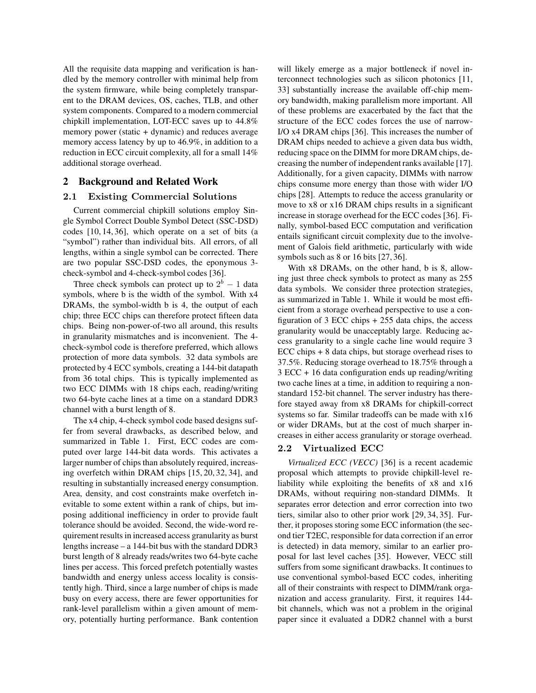All the requisite data mapping and verification is handled by the memory controller with minimal help from the system firmware, while being completely transparent to the DRAM devices, OS, caches, TLB, and other system components. Compared to a modern commercial chipkill implementation, LOT-ECC saves up to 44.8% memory power (static + dynamic) and reduces average memory access latency by up to 46.9%, in addition to a reduction in ECC circuit complexity, all for a small 14% additional storage overhead.

## **2 Background and Related Work**

## 2.1 Existing Commercial Solutions

Current commercial chipkill solutions employ Single Symbol Correct Double Symbol Detect (SSC-DSD) codes [10, 14, 36], which operate on a set of bits (a "symbol") rather than individual bits. All errors, of all lengths, within a single symbol can be corrected. There are two popular SSC-DSD codes, the eponymous 3 check-symbol and 4-check-symbol codes [36].

Three check symbols can protect up to  $2^b - 1$  data symbols, where b is the width of the symbol. With x4 DRAMs, the symbol-width b is 4, the output of each chip; three ECC chips can therefore protect fifteen data chips. Being non-power-of-two all around, this results in granularity mismatches and is inconvenient. The 4 check-symbol code is therefore preferred, which allows protection of more data symbols. 32 data symbols are protected by 4 ECC symbols, creating a 144-bit datapath from 36 total chips. This is typically implemented as two ECC DIMMs with 18 chips each, reading/writing two 64-byte cache lines at a time on a standard DDR3 channel with a burst length of 8.

The x4 chip, 4-check symbol code based designs suffer from several drawbacks, as described below, and summarized in Table 1. First, ECC codes are computed over large 144-bit data words. This activates a larger number of chips than absolutely required, increasing overfetch within DRAM chips [15, 20, 32, 34], and resulting in substantially increased energy consumption. Area, density, and cost constraints make overfetch inevitable to some extent within a rank of chips, but imposing additional inefficiency in order to provide fault tolerance should be avoided. Second, the wide-word requirement results in increased access granularity as burst lengths increase – a 144-bit bus with the standard DDR3 burst length of 8 already reads/writes two 64-byte cache lines per access. This forced prefetch potentially wastes bandwidth and energy unless access locality is consistently high. Third, since a large number of chips is made busy on every access, there are fewer opportunities for rank-level parallelism within a given amount of memory, potentially hurting performance. Bank contention will likely emerge as a major bottleneck if novel interconnect technologies such as silicon photonics [11, 33] substantially increase the available off-chip memory bandwidth, making parallelism more important. All of these problems are exacerbated by the fact that the structure of the ECC codes forces the use of narrow-I/O x4 DRAM chips [36]. This increases the number of DRAM chips needed to achieve a given data bus width, reducing space on the DIMM for more DRAM chips, decreasing the number of independent ranks available [17]. Additionally, for a given capacity, DIMMs with narrow chips consume more energy than those with wider I/O chips [28]. Attempts to reduce the access granularity or move to x8 or x16 DRAM chips results in a significant increase in storage overhead for the ECC codes [36]. Finally, symbol-based ECC computation and verification entails significant circuit complexity due to the involvement of Galois field arithmetic, particularly with wide symbols such as 8 or 16 bits [27, 36].

With x8 DRAMs, on the other hand, b is 8, allowing just three check symbols to protect as many as 255 data symbols. We consider three protection strategies, as summarized in Table 1. While it would be most efficient from a storage overhead perspective to use a configuration of 3 ECC chips + 255 data chips, the access granularity would be unacceptably large. Reducing access granularity to a single cache line would require 3 ECC chips + 8 data chips, but storage overhead rises to 37.5%. Reducing storage overhead to 18.75% through a 3 ECC + 16 data configuration ends up reading/writing two cache lines at a time, in addition to requiring a nonstandard 152-bit channel. The server industry has therefore stayed away from x8 DRAMs for chipkill-correct systems so far. Similar tradeoffs can be made with x16 or wider DRAMs, but at the cost of much sharper increases in either access granularity or storage overhead.

# 2.2 Virtualized ECC

*Virtualized ECC (VECC)* [36] is a recent academic proposal which attempts to provide chipkill-level reliability while exploiting the benefits of x8 and x16 DRAMs, without requiring non-standard DIMMs. It separates error detection and error correction into two tiers, similar also to other prior work [29, 34, 35]. Further, it proposes storing some ECC information (the second tier T2EC, responsible for data correction if an error is detected) in data memory, similar to an earlier proposal for last level caches [35]. However, VECC still suffers from some significant drawbacks. It continues to use conventional symbol-based ECC codes, inheriting all of their constraints with respect to DIMM/rank organization and access granularity. First, it requires 144 bit channels, which was not a problem in the original paper since it evaluated a DDR2 channel with a burst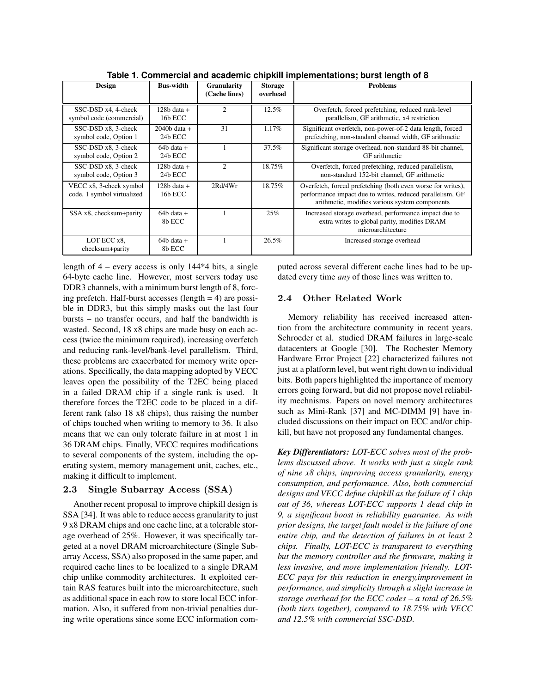| Design                                                | <b>Bus-width</b>            | <b>Granularity</b><br>(Cache lines) | <b>Storage</b><br>overhead | <b>Problems</b>                                                                                                                                                            |
|-------------------------------------------------------|-----------------------------|-------------------------------------|----------------------------|----------------------------------------------------------------------------------------------------------------------------------------------------------------------------|
| SSC-DSD x4, 4-check<br>symbol code (commercial)       | $128b$ data $+$<br>16b ECC  | $\overline{c}$                      | 12.5%                      | Overfetch, forced prefetching, reduced rank-level<br>parallelism, GF arithmetic, x4 restriction                                                                            |
| SSC-DSD x8, 3-check<br>symbol code, Option 1          | $2040b$ data $+$<br>24b ECC | 31                                  | $1.17\%$                   | Significant overfetch, non-power-of-2 data length, forced<br>prefetching, non-standard channel width, GF arithmetic                                                        |
| SSC-DSD x8, 3-check<br>symbol code, Option 2          | $64b$ data $+$<br>24b ECC   |                                     | 37.5%                      | Significant storage overhead, non-standard 88-bit channel,<br>GF arithmetic                                                                                                |
| SSC-DSD x8, 3-check<br>symbol code, Option 3          | 128b data +<br>24b ECC      | 2                                   | 18.75%                     | Overfetch, forced prefetching, reduced parallelism,<br>non-standard 152-bit channel, GF arithmetic                                                                         |
| VECC x8, 3-check symbol<br>code, 1 symbol virtualized | $128b$ data $+$<br>16b ECC  | 2Rd/4Wr                             | 18.75%                     | Overfetch, forced prefetching (both even worse for writes),<br>performance impact due to writes, reduced parallelism, GF<br>arithmetic, modifies various system components |
| SSA x8, checksum+parity                               | $64b$ data $+$<br>8b ECC    |                                     | 25%                        | Increased storage overhead, performance impact due to<br>extra writes to global parity, modifies DRAM<br>microarchitecture                                                 |
| LOT-ECC x8.<br>checksum+parity                        | $64b$ data $+$<br>8b ECC    |                                     | 26.5%                      | Increased storage overhead                                                                                                                                                 |

**Table 1. Commercial and academic chipkill implementations; burst length of 8**

length of 4 – every access is only 144\*4 bits, a single 64-byte cache line. However, most servers today use DDR3 channels, with a minimum burst length of 8, forcing prefetch. Half-burst accesses (length  $= 4$ ) are possible in DDR3, but this simply masks out the last four bursts – no transfer occurs, and half the bandwidth is wasted. Second, 18 x8 chips are made busy on each access (twice the minimum required), increasing overfetch and reducing rank-level/bank-level parallelism. Third, these problems are exacerbated for memory write operations. Specifically, the data mapping adopted by VECC leaves open the possibility of the T2EC being placed in a failed DRAM chip if a single rank is used. It therefore forces the T2EC code to be placed in a different rank (also 18 x8 chips), thus raising the number of chips touched when writing to memory to 36. It also means that we can only tolerate failure in at most 1 in 36 DRAM chips. Finally, VECC requires modifications to several components of the system, including the operating system, memory management unit, caches, etc., making it difficult to implement.

# 2.3 Single Subarray Access (SSA)

Another recent proposal to improve chipkill design is SSA [34]. It was able to reduce access granularity to just 9 x8 DRAM chips and one cache line, at a tolerable storage overhead of 25%. However, it was specifically targeted at a novel DRAM microarchitecture (Single Subarray Access, SSA) also proposed in the same paper, and required cache lines to be localized to a single DRAM chip unlike commodity architectures. It exploited certain RAS features built into the microarchitecture, such as additional space in each row to store local ECC information. Also, it suffered from non-trivial penalties during write operations since some ECC information computed across several different cache lines had to be updated every time *any* of those lines was written to.

# 2.4 Other Related Work

Memory reliability has received increased attention from the architecture community in recent years. Schroeder et al. studied DRAM failures in large-scale datacenters at Google [30]. The Rochester Memory Hardware Error Project [22] characterized failures not just at a platform level, but went right down to individual bits. Both papers highlighted the importance of memory errors going forward, but did not propose novel reliability mechnisms. Papers on novel memory architectures such as Mini-Rank [37] and MC-DIMM [9] have included discussions on their impact on ECC and/or chipkill, but have not proposed any fundamental changes.

*Key Differentiators: LOT-ECC solves most of the problems discussed above. It works with just a single rank of nine x8 chips, improving access granularity, energy consumption, and performance. Also, both commercial designs and VECC define chipkill as the failure of 1 chip out of 36, whereas LOT-ECC supports 1 dead chip in 9, a significant boost in reliability guarantee. As with prior designs, the target fault model is the failure of one entire chip, and the detection of failures in at least 2 chips. Finally, LOT-ECC is transparent to everything but the memory controller and the firmware, making it less invasive, and more implementation friendly. LOT-ECC pays for this reduction in energy,improvement in performance, and simplicity through a slight increase in storage overhead for the ECC codes – a total of 26.5% (both tiers together), compared to 18.75% with VECC and 12.5% with commercial SSC-DSD.*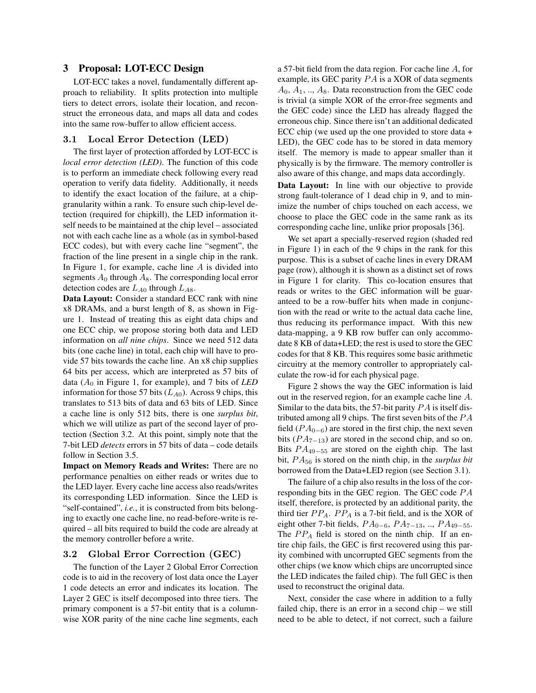# **3 Proposal: LOT-ECC Design**

LOT-ECC takes a novel, fundamentally different approach to reliability. It splits protection into multiple tiers to detect errors, isolate their location, and reconstruct the erroneous data, and maps all data and codes into the same row-buffer to allow efficient access.

### 3.1 Local Error Detection (LED)

The first layer of protection afforded by LOT-ECC is *local error detection (LED)*. The function of this code is to perform an immediate check following every read operation to verify data fidelity. Additionally, it needs to identify the exact location of the failure, at a chipgranularity within a rank. To ensure such chip-level detection (required for chipkill), the LED information itself needs to be maintained at the chip level – associated not with each cache line as a whole (as in symbol-based ECC codes), but with every cache line "segment", the fraction of the line present in a single chip in the rank. In Figure 1, for example, cache line  $A$  is divided into segments  $A_0$  through  $A_8$ . The corresponding local error detection codes are  $L_{A0}$  through  $L_{A8}$ .

**Data Layout:** Consider a standard ECC rank with nine x8 DRAMs, and a burst length of 8, as shown in Figure 1. Instead of treating this as eight data chips and one ECC chip, we propose storing both data and LED information on *all nine chips*. Since we need 512 data bits (one cache line) in total, each chip will have to provide 57 bits towards the cache line. An x8 chip supplies 64 bits per access, which are interpreted as 57 bits of data  $(A_0$  in Figure 1, for example), and 7 bits of *LED* information for those 57 bits  $(L_{A0})$ . Across 9 chips, this translates to 513 bits of data and 63 bits of LED. Since a cache line is only 512 bits, there is one *surplus bit*, which we will utilize as part of the second layer of protection (Section 3.2. At this point, simply note that the 7-bit LED *detects* errors in 57 bits of data – code details follow in Section 3.5.

**Impact on Memory Reads and Writes:** There are no performance penalties on either reads or writes due to the LED layer. Every cache line access also reads/writes its corresponding LED information. Since the LED is "self-contained", *i.e.*, it is constructed from bits belonging to exactly one cache line, no read-before-write is required – all bits required to build the code are already at the memory controller before a write.

### 3.2 Global Error Correction (GEC)

The function of the Layer 2 Global Error Correction code is to aid in the recovery of lost data once the Layer 1 code detects an error and indicates its location. The Layer 2 GEC is itself decomposed into three tiers. The primary component is a 57-bit entity that is a columnwise XOR parity of the nine cache line segments, each

a 57-bit field from the data region. For cache line A, for example, its GEC parity  $PA$  is a XOR of data segments  $A_0, A_1, \ldots, A_8$ . Data reconstruction from the GEC code is trivial (a simple XOR of the error-free segments and the GEC code) since the LED has already flagged the erroneous chip. Since there isn't an additional dedicated ECC chip (we used up the one provided to store data + LED), the GEC code has to be stored in data memory itself. The memory is made to appear smaller than it physically is by the firmware. The memory controller is also aware of this change, and maps data accordingly.

**Data Layout:** In line with our objective to provide strong fault-tolerance of 1 dead chip in 9, and to minimize the number of chips touched on each access, we choose to place the GEC code in the same rank as its corresponding cache line, unlike prior proposals [36].

We set apart a specially-reserved region (shaded red in Figure 1) in each of the 9 chips in the rank for this purpose. This is a subset of cache lines in every DRAM page (row), although it is shown as a distinct set of rows in Figure 1 for clarity. This co-location ensures that reads or writes to the GEC information will be guaranteed to be a row-buffer hits when made in conjunction with the read or write to the actual data cache line, thus reducing its performance impact. With this new data-mapping, a 9 KB row buffer can only accommodate 8 KB of data+LED; the rest is used to store the GEC codes for that 8 KB. This requires some basic arithmetic circuitry at the memory controller to appropriately calculate the row-id for each physical page.

Figure 2 shows the way the GEC information is laid out in the reserved region, for an example cache line A. Similar to the data bits, the 57-bit parity  $PA$  is itself distributed among all 9 chips. The first seven bits of the  $PA$ field ( $PA_{0-6}$ ) are stored in the first chip, the next seven bits ( $PA_{7-13}$ ) are stored in the second chip, and so on. Bits  $PA_{49-55}$  are stored on the eighth chip. The last bit,  $PA_{56}$  is stored on the ninth chip, in the *surplus bit* borrowed from the Data+LED region (see Section 3.1).

The failure of a chip also results in the loss of the corresponding bits in the GEC region. The GEC code  $PA$ itself, therefore, is protected by an additional parity, the third tier  $PP_A$ .  $PP_A$  is a 7-bit field, and is the XOR of eight other 7-bit fields,  $PA_{0-6}$ ,  $PA_{7-13}$ , ..,  $PA_{49-55}$ . The  $PP_A$  field is stored on the ninth chip. If an entire chip fails, the GEC is first recovered using this parity combined with uncorrupted GEC segments from the other chips (we know which chips are uncorrupted since the LED indicates the failed chip). The full GEC is then used to reconstruct the original data.

Next, consider the case where in addition to a fully failed chip, there is an error in a second chip – we still need to be able to detect, if not correct, such a failure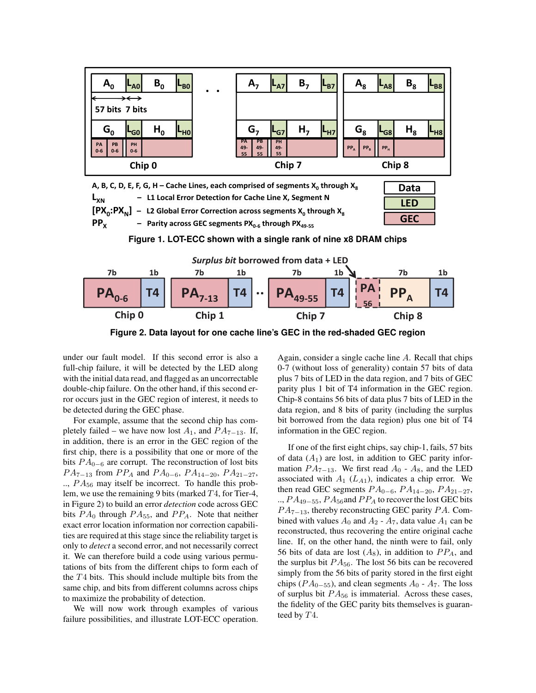

 $PP<sub>x</sub>$  $-$  Parity <code>across</code> <code>GEC</code> segments <code>PX</code><sub>0-6</sub> through <code>PX</code><sub>49-55</sub>







**Figure 2. Data layout for one cache line's GEC in the red-shaded GEC region**

GEC under our fault model. If this second error is also a fun-cinp ranure, it will be detected by the LED along to-7 (with<br>with the initial data read, and flagged as an uncorrectable plus 7 bits double-chip failure. On the other hand, if this second er-<br>ror occurs just in the GEC region of interest, it needs to Chin-8 of detected during the GEC phase. data regi<br>For example, assume that the second chip has com-<br>bit borrow full-chip failure, it will be detected by the LED along ror occurs just in the GEC region of interest, it needs to be detected during the GEC phase.

Tor example, assume that the second cmp has completely failed – we have now lost  $A_1$ , and  $PA_{7-13}$ . If,  $\frac{1}{2}$  in addition, there is an error in the GEC region of the first object that  $\frac{1}{2}$  is a possibility that one or more of the first chip, there is a possibility that one or more of the bits  $PA_{0-6}$  are corrupt. The reconstruction of lost bits  $PA_{7-13}$  from  $PP_A$  and  $PA_{0-6}$ ,  $PA_{14-20}$ ,  $PA_{21-27}$ ,  $\ldots$ ,  $PA_{56}$  may itself be incorrect. To handle this problem, we use the remaining 9 bits (marked  $T_4$ , for Tier-4, in Figure 2) to build an error *detection* code across GEC bits  $PA_0$  through  $PA_{55}$ , and  $PP_A$ . Note that neither exact error location information nor correction capabilities are required at this stage since the reliability target is only to *detect* a second error, and not necessarily correct it. We can therefore build a code using various permutations of bits from the different chips to form each of the  $T<sub>4</sub>$  bits. This should include multiple bits from the same chip, and bits from different columns across chips to maximize the probability of detection.

We will now work through examples of various failure possibilities, and illustrate LOT-ECC operation.

Again, consider a single cache line A. Recall that chips 0-7 (without loss of generality) contain 57 bits of data plus 7 bits of LED in the data region, and 7 bits of GEC parity plus 1 bit of T4 information in the GEC region. Chip-8 contains 56 bits of data plus 7 bits of LED in the data region, and 8 bits of parity (including the surplus bit borrowed from the data region) plus one bit of T4 information in the GEC region.

If one of the first eight chips, say chip-1, fails, 57 bits of data  $(A_1)$  are lost, in addition to GEC parity information  $PA_{7-13}$ . We first read  $A_0$  -  $A_8$ , and the LED associated with  $A_1$  ( $L_{A1}$ ), indicates a chip error. We then read GEC segments  $PA_{0-6}$ ,  $PA_{14-20}$ ,  $PA_{21-27}$ , ..,  $PA_{49-55}$ ,  $PA_{56}$  and  $PP_A$  to recover the lost GEC bits  $PA_{7-13}$ , thereby reconstructing GEC parity PA. Combined with values  $A_0$  and  $A_2$  -  $A_7$ , data value  $A_1$  can be reconstructed, thus recovering the entire original cache line. If, on the other hand, the ninth were to fail, only 56 bits of data are lost  $(A_8)$ , in addition to  $PP_A$ , and the surplus bit  $PA_{56}$ . The lost 56 bits can be recovered simply from the 56 bits of parity stored in the first eight chips ( $PA_{0-55}$ ), and clean segments  $A_0 - A_7$ . The loss of surplus bit  $PA_{56}$  is immaterial. Across these cases, the fidelity of the GEC parity bits themselves is guaranteed by  $T4$ .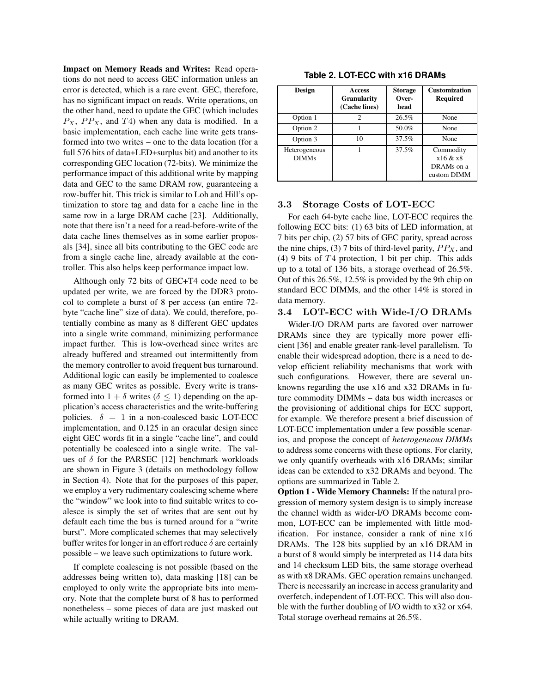**Impact on Memory Reads and Writes:** Read operations do not need to access GEC information unless an error is detected, which is a rare event. GEC, therefore, has no significant impact on reads. Write operations, on the other hand, need to update the GEC (which includes  $P_X$ ,  $PP_X$ , and  $T4$ ) when any data is modified. In a basic implementation, each cache line write gets transformed into two writes – one to the data location (for a full 576 bits of data+LED+surplus bit) and another to its corresponding GEC location (72-bits). We minimize the performance impact of this additional write by mapping data and GEC to the same DRAM row, guaranteeing a row-buffer hit. This trick is similar to Loh and Hill's optimization to store tag and data for a cache line in the same row in a large DRAM cache [23]. Additionally, note that there isn't a need for a read-before-write of the data cache lines themselves as in some earlier proposals [34], since all bits contributing to the GEC code are from a single cache line, already available at the controller. This also helps keep performance impact low.

Although only 72 bits of GEC+T4 code need to be updated per write, we are forced by the DDR3 protocol to complete a burst of 8 per access (an entire 72 byte "cache line" size of data). We could, therefore, potentially combine as many as 8 different GEC updates into a single write command, minimizing performance impact further. This is low-overhead since writes are already buffered and streamed out intermittently from the memory controller to avoid frequent bus turnaround. Additional logic can easily be implemented to coalesce as many GEC writes as possible. Every write is transformed into  $1 + \delta$  writes ( $\delta \leq 1$ ) depending on the application's access characteristics and the write-buffering policies.  $\delta = 1$  in a non-coalesced basic LOT-ECC implementation, and 0.125 in an oracular design since eight GEC words fit in a single "cache line", and could potentially be coalesced into a single write. The values of  $\delta$  for the PARSEC [12] benchmark workloads are shown in Figure 3 (details on methodology follow in Section 4). Note that for the purposes of this paper, we employ a very rudimentary coalescing scheme where the "window" we look into to find suitable writes to coalesce is simply the set of writes that are sent out by default each time the bus is turned around for a "write burst". More complicated schemes that may selectively buffer writes for longer in an effort reduce  $\delta$  are certainly possible – we leave such optimizations to future work.

If complete coalescing is not possible (based on the addresses being written to), data masking [18] can be employed to only write the appropriate bits into memory. Note that the complete burst of 8 has to performed nonetheless – some pieces of data are just masked out while actually writing to DRAM.

| Design                        | <b>Access</b><br><b>Granularity</b><br>(Cache lines) | <b>Storage</b><br>Over-<br>head | <b>Customization</b><br><b>Required</b>            |
|-------------------------------|------------------------------------------------------|---------------------------------|----------------------------------------------------|
| Option 1                      | 2                                                    | 26.5%                           | None                                               |
| Option 2                      |                                                      | 50.0%                           | None                                               |
| Option 3                      | 10                                                   | 37.5%                           | None                                               |
| Heterogeneous<br><b>DIMMs</b> |                                                      | 37.5%                           | Commodity<br>x16 & x8<br>DRAMs on a<br>custom DIMM |

# **Table 2. LOT-ECC with x16 DRAMs**

## 3.3 Storage Costs of LOT-ECC

For each 64-byte cache line, LOT-ECC requires the following ECC bits: (1) 63 bits of LED information, at 7 bits per chip, (2) 57 bits of GEC parity, spread across the nine chips, (3) 7 bits of third-level parity,  $PP<sub>X</sub>$ , and (4) 9 bits of  $T<sub>4</sub>$  protection, 1 bit per chip. This adds up to a total of 136 bits, a storage overhead of 26.5%. Out of this 26.5%, 12.5% is provided by the 9th chip on standard ECC DIMMs, and the other 14% is stored in data memory.

## 3.4 LOT-ECC with Wide-I/O DRAMs

Wider-I/O DRAM parts are favored over narrower DRAMs since they are typically more power efficient [36] and enable greater rank-level parallelism. To enable their widespread adoption, there is a need to develop efficient reliability mechanisms that work with such configurations. However, there are several unknowns regarding the use x16 and x32 DRAMs in future commodity DIMMs – data bus width increases or the provisioning of additional chips for ECC support, for example. We therefore present a brief discussion of LOT-ECC implementation under a few possible scenarios, and propose the concept of *heterogeneous DIMMs* to address some concerns with these options. For clarity, we only quantify overheads with x16 DRAMs; similar ideas can be extended to x32 DRAMs and beyond. The options are summarized in Table 2.

**Option 1 - Wide Memory Channels:** If the natural progression of memory system design is to simply increase the channel width as wider-I/O DRAMs become common, LOT-ECC can be implemented with little modification. For instance, consider a rank of nine x16 DRAMs. The 128 bits supplied by an x16 DRAM in a burst of 8 would simply be interpreted as 114 data bits and 14 checksum LED bits, the same storage overhead as with x8 DRAMs. GEC operation remains unchanged. There is necessarily an increase in access granularity and overfetch, independent of LOT-ECC. This will also double with the further doubling of I/O width to x32 or x64. Total storage overhead remains at 26.5%.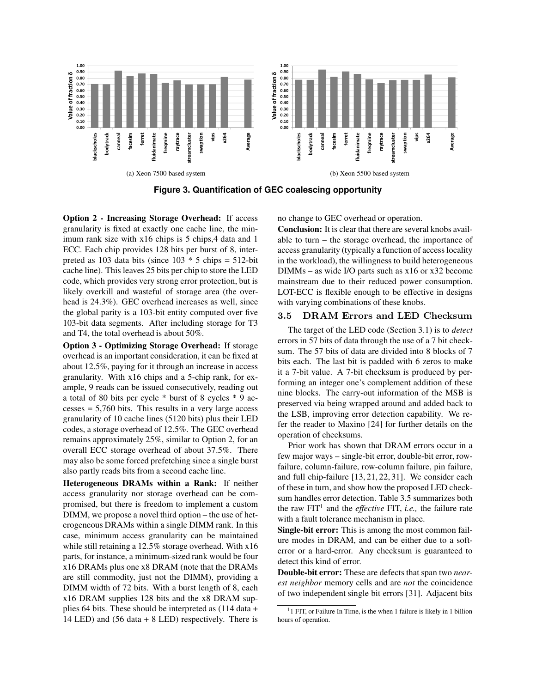

**Figure 3. Quantification of GEC coalescing opportunity**

**Option 2 - Increasing Storage Overhead:** If access granularity is fixed at exactly one cache line, the minimum rank size with x16 chips is 5 chips,4 data and 1 ECC. Each chip provides 128 bits per burst of 8, interpreted as 103 data bits (since  $103 * 5$  chips =  $512$ -bit cache line). This leaves 25 bits per chip to store the LED code, which provides very strong error protection, but is likely overkill and wasteful of storage area (the overhead is 24.3%). GEC overhead increases as well, since the global parity is a 103-bit entity computed over five 103-bit data segments. After including storage for T3 and T4, the total overhead is about 50%.

**Option 3 - Optimizing Storage Overhead:** If storage overhead is an important consideration, it can be fixed at about 12.5%, paying for it through an increase in access granularity. With x16 chips and a 5-chip rank, for example, 9 reads can be issued consecutively, reading out a total of 80 bits per cycle \* burst of 8 cycles \* 9 ac $c$ esses = 5,760 bits. This results in a very large access granularity of 10 cache lines (5120 bits) plus their LED codes, a storage overhead of 12.5%. The GEC overhead remains approximately 25%, similar to Option 2, for an overall ECC storage overhead of about 37.5%. There may also be some forced prefetching since a single burst also partly reads bits from a second cache line.

**Heterogeneous DRAMs within a Rank:** If neither access granularity nor storage overhead can be compromised, but there is freedom to implement a custom DIMM, we propose a novel third option – the use of heterogeneous DRAMs within a single DIMM rank. In this case, minimum access granularity can be maintained while still retaining a 12.5% storage overhead. With x16 parts, for instance, a minimum-sized rank would be four x16 DRAMs plus one x8 DRAM (note that the DRAMs are still commodity, just not the DIMM), providing a DIMM width of 72 bits. With a burst length of 8, each x16 DRAM supplies 128 bits and the x8 DRAM supplies 64 bits. These should be interpreted as (114 data + 14 LED) and (56 data + 8 LED) respectively. There is no change to GEC overhead or operation.

**Conclusion:** It is clear that there are several knobs available to turn – the storage overhead, the importance of access granularity (typically a function of access locality in the workload), the willingness to build heterogeneous DIMMs – as wide I/O parts such as x16 or x32 become mainstream due to their reduced power consumption. LOT-ECC is flexible enough to be effective in designs with varying combinations of these knobs.

## 3.5 DRAM Errors and LED Checksum

The target of the LED code (Section 3.1) is to *detect* errors in 57 bits of data through the use of a 7 bit checksum. The 57 bits of data are divided into 8 blocks of 7 bits each. The last bit is padded with 6 zeros to make it a 7-bit value. A 7-bit checksum is produced by performing an integer one's complement addition of these nine blocks. The carry-out information of the MSB is preserved via being wrapped around and added back to the LSB, improving error detection capability. We refer the reader to Maxino [24] for further details on the operation of checksums.

Prior work has shown that DRAM errors occur in a few major ways – single-bit error, double-bit error, rowfailure, column-failure, row-column failure, pin failure, and full chip-failure [13, 21, 22, 31]. We consider each of these in turn, and show how the proposed LED checksum handles error detection. Table 3.5 summarizes both the raw FIT<sup>1</sup> and the *effective* FIT, *i.e.*, the failure rate with a fault tolerance mechanism in place.

**Single-bit error:** This is among the most common failure modes in DRAM, and can be either due to a softerror or a hard-error. Any checksum is guaranteed to detect this kind of error.

**Double-bit error:** These are defects that span two *nearest neighbor* memory cells and are *not* the coincidence of two independent single bit errors [31]. Adjacent bits

<sup>&</sup>lt;sup>1</sup>1 FIT, or Failure In Time, is the when 1 failure is likely in 1 billion hours of operation.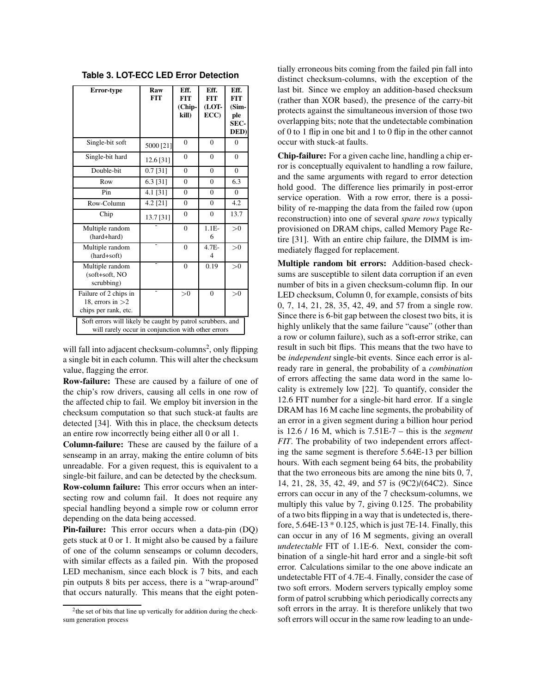| Error-type                                                                                                       | Raw<br><b>FIT</b> | Eff.<br><b>FIT</b><br>(Chip-<br>kill) | Eff.<br><b>FIT</b><br>(LOT-<br>ECC) | Eff.<br><b>FIT</b><br>$(Sim-$<br>ple<br>SEC-<br>DED) |  |
|------------------------------------------------------------------------------------------------------------------|-------------------|---------------------------------------|-------------------------------------|------------------------------------------------------|--|
| Single-bit soft                                                                                                  | 5000 [21]         | $\overline{0}$                        | $\Omega$                            | $\theta$                                             |  |
| Single-bit hard                                                                                                  | 12.6 [31]         | $\Omega$                              | $\Omega$                            | $\theta$                                             |  |
| Double-bit                                                                                                       | $0.7$ [31]        | $\Omega$                              | $\theta$                            | $\overline{0}$                                       |  |
| Row                                                                                                              | 6.3 [31]          | $\Omega$                              | $\Omega$                            | 6.3                                                  |  |
| Pin                                                                                                              | 4.1 [31]          | $\theta$                              | $\Omega$                            | $\Omega$                                             |  |
| Row-Column                                                                                                       | 4.2 [21]          | $\overline{0}$                        | $\theta$                            | 4.2                                                  |  |
| Chip                                                                                                             | 13.7 [31]         | $\theta$                              | $\Omega$                            | 13.7                                                 |  |
| Multiple random<br>(hard+hard)                                                                                   |                   | $\Omega$                              | $1.1E-$<br>6                        | >0                                                   |  |
| Multiple random<br>(hard+soft)                                                                                   |                   | $\theta$                              | $4.7E-$<br>$\overline{4}$           | >0                                                   |  |
| Multiple random<br>(soft+soft, NO<br>scrubbing)                                                                  |                   | $\Omega$                              | 0.19                                | >0                                                   |  |
| Failure of 2 chips in<br>18, errors in $>2$<br>chips per rank, etc.                                              |                   | >0                                    | $\Omega$                            | >0                                                   |  |
| Soft errors will likely be caught by patrol scrubbers, and<br>will rarely occur in conjunction with other errors |                   |                                       |                                     |                                                      |  |

**Table 3. LOT-ECC LED Error Detection**

will fall into adjacent checksum-columns<sup>2</sup>, only flipping a single bit in each column. This will alter the checksum value, flagging the error.

**Row-failure:** These are caused by a failure of one of the chip's row drivers, causing all cells in one row of the affected chip to fail. We employ bit inversion in the checksum computation so that such stuck-at faults are detected [34]. With this in place, the checksum detects an entire row incorrectly being either all 0 or all 1.

**Column-failure:** These are caused by the failure of a senseamp in an array, making the entire column of bits unreadable. For a given request, this is equivalent to a single-bit failure, and can be detected by the checksum. **Row-column failure:** This error occurs when an inter-

secting row and column fail. It does not require any special handling beyond a simple row or column error depending on the data being accessed.

**Pin-failure:** This error occurs when a data-pin (DQ) gets stuck at 0 or 1. It might also be caused by a failure of one of the column senseamps or column decoders, with similar effects as a failed pin. With the proposed LED mechanism, since each block is 7 bits, and each pin outputs 8 bits per access, there is a "wrap-around" that occurs naturally. This means that the eight poten-

tially erroneous bits coming from the failed pin fall into distinct checksum-columns, with the exception of the last bit. Since we employ an addition-based checksum (rather than XOR based), the presence of the carry-bit protects against the simultaneous inversion of those two overlapping bits; note that the undetectable combination of 0 to 1 flip in one bit and 1 to 0 flip in the other cannot occur with stuck-at faults.

**Chip-failure:** For a given cache line, handling a chip error is conceptually equivalent to handling a row failure, and the same arguments with regard to error detection hold good. The difference lies primarily in post-error service operation. With a row error, there is a possibility of re-mapping the data from the failed row (upon reconstruction) into one of several *spare rows* typically provisioned on DRAM chips, called Memory Page Retire [31]. With an entire chip failure, the DIMM is immediately flagged for replacement.

**Multiple random bit errors:** Addition-based checksums are susceptible to silent data corruption if an even number of bits in a given checksum-column flip. In our LED checksum, Column 0, for example, consists of bits 0, 7, 14, 21, 28, 35, 42, 49, and 57 from a single row. Since there is 6-bit gap between the closest two bits, it is highly unlikely that the same failure "cause" (other than a row or column failure), such as a soft-error strike, can result in such bit flips. This means that the two have to be *independent* single-bit events. Since each error is already rare in general, the probability of a *combination* of errors affecting the same data word in the same locality is extremely low [22]. To quantify, consider the 12.6 FIT number for a single-bit hard error. If a single DRAM has 16 M cache line segments, the probability of an error in a given segment during a billion hour period is 12.6 / 16 M, which is 7.51E-7 – this is the *segment FIT*. The probability of two independent errors affecting the same segment is therefore 5.64E-13 per billion hours. With each segment being 64 bits, the probability that the two erroneous bits are among the nine bits 0, 7, 14, 21, 28, 35, 42, 49, and 57 is (9C2)/(64C2). Since errors can occur in any of the 7 checksum-columns, we multiply this value by 7, giving 0.125. The probability of a two bits flipping in a way that is undetected is, therefore,  $5.64E-13 * 0.125$ , which is just 7E-14. Finally, this can occur in any of 16 M segments, giving an overall *undetectable* FIT of 1.1E-6. Next, consider the combination of a single-hit hard error and a single-bit soft error. Calculations similar to the one above indicate an undetectable FIT of 4.7E-4. Finally, consider the case of two soft errors. Modern servers typically employ some form of patrol scrubbing which periodically corrects any soft errors in the array. It is therefore unlikely that two soft errors will occur in the same row leading to an unde-

<sup>&</sup>lt;sup>2</sup> the set of bits that line up vertically for addition during the checksum generation process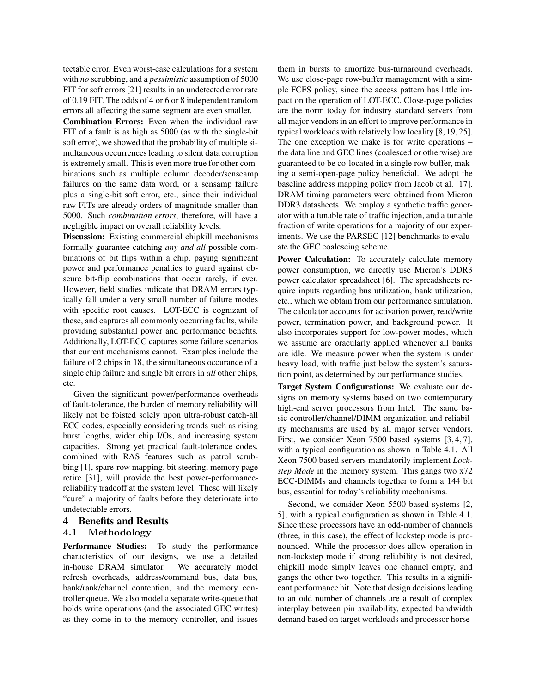tectable error. Even worst-case calculations for a system with *no* scrubbing, and a *pessimistic* assumption of 5000 FIT for soft errors [21] results in an undetected error rate of 0.19 FIT. The odds of 4 or 6 or 8 independent random errors all affecting the same segment are even smaller.

**Combination Errors:** Even when the individual raw FIT of a fault is as high as 5000 (as with the single-bit soft error), we showed that the probability of multiple simultaneous occurrences leading to silent data corruption is extremely small. This is even more true for other combinations such as multiple column decoder/senseamp failures on the same data word, or a sensamp failure plus a single-bit soft error, etc., since their individual raw FITs are already orders of magnitude smaller than 5000. Such *combination errors*, therefore, will have a negligible impact on overall reliability levels.

**Discussion:** Existing commercial chipkill mechanisms formally guarantee catching *any and all* possible combinations of bit flips within a chip, paying significant power and performance penalties to guard against obscure bit-flip combinations that occur rarely, if ever. However, field studies indicate that DRAM errors typically fall under a very small number of failure modes with specific root causes. LOT-ECC is cognizant of these, and captures all commonly occurring faults, while providing substantial power and performance benefits. Additionally, LOT-ECC captures some failure scenarios that current mechanisms cannot. Examples include the failure of 2 chips in 18, the simultaneous occurance of a single chip failure and single bit errors in *all* other chips, etc.

Given the significant power/performance overheads of fault-tolerance, the burden of memory reliability will likely not be foisted solely upon ultra-robust catch-all ECC codes, especially considering trends such as rising burst lengths, wider chip I/Os, and increasing system capacities. Strong yet practical fault-tolerance codes, combined with RAS features such as patrol scrubbing [1], spare-row mapping, bit steering, memory page retire [31], will provide the best power-performancereliability tradeoff at the system level. These will likely "cure" a majority of faults before they deteriorate into undetectable errors.

#### **4 Benefits and Results**

#### 4.1 Methodology

**Performance Studies:** To study the performance characteristics of our designs, we use a detailed in-house DRAM simulator. We accurately model refresh overheads, address/command bus, data bus, bank/rank/channel contention, and the memory controller queue. We also model a separate write-queue that holds write operations (and the associated GEC writes) as they come in to the memory controller, and issues

them in bursts to amortize bus-turnaround overheads. We use close-page row-buffer management with a simple FCFS policy, since the access pattern has little impact on the operation of LOT-ECC. Close-page policies are the norm today for industry standard servers from all major vendors in an effort to improve performance in typical workloads with relatively low locality [8, 19, 25]. The one exception we make is for write operations – the data line and GEC lines (coalesced or otherwise) are guaranteed to be co-located in a single row buffer, making a semi-open-page policy beneficial. We adopt the baseline address mapping policy from Jacob et al. [17]. DRAM timing parameters were obtained from Micron DDR3 datasheets. We employ a synthetic traffic generator with a tunable rate of traffic injection, and a tunable fraction of write operations for a majority of our experiments. We use the PARSEC [12] benchmarks to evaluate the GEC coalescing scheme.

Power Calculation: To accurately calculate memory power consumption, we directly use Micron's DDR3 power calculator spreadsheet [6]. The spreadsheets require inputs regarding bus utilization, bank utilization, etc., which we obtain from our performance simulation. The calculator accounts for activation power, read/write power, termination power, and background power. It also incorporates support for low-power modes, which we assume are oracularly applied whenever all banks are idle. We measure power when the system is under heavy load, with traffic just below the system's saturation point, as determined by our performance studies.

**Target System Configurations:** We evaluate our designs on memory systems based on two contemporary high-end server processors from Intel. The same basic controller/channel/DIMM organization and reliability mechanisms are used by all major server vendors. First, we consider Xeon 7500 based systems [3, 4, 7], with a typical configuration as shown in Table 4.1. All Xeon 7500 based servers mandatorily implement *Lockstep Mode* in the memory system. This gangs two x72 ECC-DIMMs and channels together to form a 144 bit bus, essential for today's reliability mechanisms.

Second, we consider Xeon 5500 based systems [2, 5], with a typical configuration as shown in Table 4.1. Since these processors have an odd-number of channels (three, in this case), the effect of lockstep mode is pronounced. While the processor does allow operation in non-lockstep mode if strong reliability is not desired, chipkill mode simply leaves one channel empty, and gangs the other two together. This results in a significant performance hit. Note that design decisions leading to an odd number of channels are a result of complex interplay between pin availability, expected bandwidth demand based on target workloads and processor horse-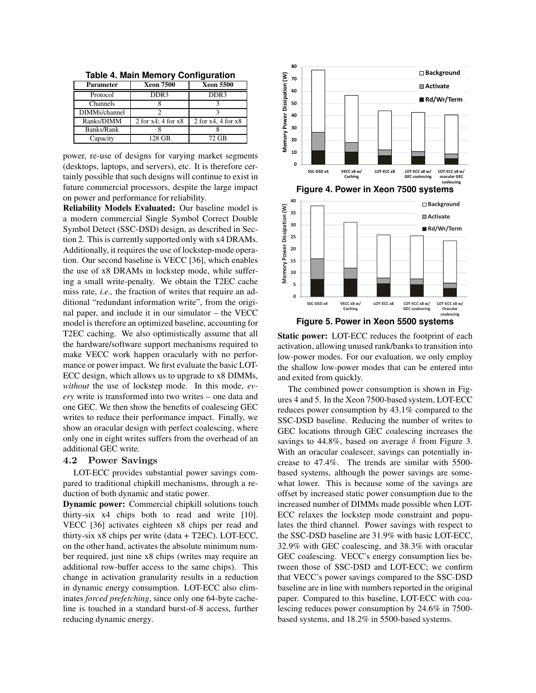| <b>Parameter</b> | <b>Xeon 7500</b>        | <b>Xeon 5500</b>        |  |  |  |  |
|------------------|-------------------------|-------------------------|--|--|--|--|
| Protocol         | DDR <sub>3</sub>        | DDR <sub>3</sub>        |  |  |  |  |
| Channels         |                         |                         |  |  |  |  |
| DIMMs/channel    |                         |                         |  |  |  |  |
| Ranks/DIMM       | 2 for $x4$ ; 4 for $x8$ | 2 for $x4$ , 4 for $x8$ |  |  |  |  |
| Banks/Rank       |                         |                         |  |  |  |  |
| Capacity         | 128 GB                  | 72 GB                   |  |  |  |  |

**Table 4. Main Memory Configuration**

power, re-use of designs for varying market segments (desktops, laptops, and servers), etc. It is therefore certainly possible that such designs will continue to exist in future commercial processors, despite the large impact on power and performance for reliability.

**Reliability Models Evaluated:** Our baseline model is a modern commercial Single Symbol Correct Double Symbol Detect (SSC-DSD) design, as described in Section 2. This is currently supported only with x4 DRAMs. Additionally, it requires the use of lockstep-mode operation. Our second baseline is VECC [36], which enables the use of x8 DRAMs in lockstep mode, while suffering a small write-penalty. We obtain the T2EC cache miss rate, *i.e.,* the fraction of writes that require an additional "redundant information write", from the original paper, and include it in our simulator – the VECC model is therefore an optimized baseline, accounting for T2EC caching. We also optimistically assume that all the hardware/software support mechanisms required to make VECC work happen oracularly with no performance or power impact. We first evaluate the basic LOT-ECC design, which allows us to upgrade to x8 DIMMs, *without* the use of lockstep mode. In this mode, *every* write is transformed into two writes – one data and one GEC. We then show the benefits of coalescing GEC writes to reduce their performance impact. Finally, we show an oracular design with perfect coalescing, where only one in eight writes suffers from the overhead of an additional GEC write.

#### 4.2 Power Savings

LOT-ECC provides substantial power savings compared to traditional chipkill mechanisms, through a reduction of both dynamic and static power.

**Dynamic power:** Commercial chipkill solutions touch thirty-six x4 chips both to read and write [10]. VECC [36] activates eighteen x8 chips per read and thirty-six x8 chips per write (data + T2EC). LOT-ECC, on the other hand, activates the absolute minimum number required, just nine x8 chips (writes may require an additional row-buffer access to the same chips). This change in activation granularity results in a reduction in dynamic energy consumption. LOT-ECC also eliminates *forced prefetching*, since only one 64-byte cacheline is touched in a standard burst-of-8 access, further reducing dynamic energy.



**Static power:** LOT-ECC reduces the footprint of each activation, allowing unused rank/banks to transition into low-power modes. For our evaluation, we only employ the shallow low-power modes that can be entered into and exited from quickly.

The combined power consumption is shown in Figures 4 and 5. In the Xeon 7500-based system, LOT-ECC reduces power consumption by 43.1% compared to the SSC-DSD baseline. Reducing the number of writes to GEC locations through GEC coalescing increases the savings to 44.8%, based on average  $\delta$  from Figure 3. With an oracular coalescer, savings can potentially increase to 47.4%. The trends are similar with 5500 based systems, although the power savings are somewhat lower. This is because some of the savings are offset by increased static power consumption due to the increased number of DIMMs made possible when LOT-ECC relaxes the lockstep mode constraint and populates the third channel. Power savings with respect to the SSC-DSD baseline are 31.9% with basic LOT-ECC, 32.9% with GEC coalescing, and 38.3% with oracular GEC coalescing. VECC's energy consumption lies between those of SSC-DSD and LOT-ECC; we confirm that VECC's power savings compared to the SSC-DSD baseline are in line with numbers reported in the original paper. Compared to this baseline, LOT-ECC with coalescing reduces power consumption by 24.6% in 7500 based systems, and 18.2% in 5500-based systems.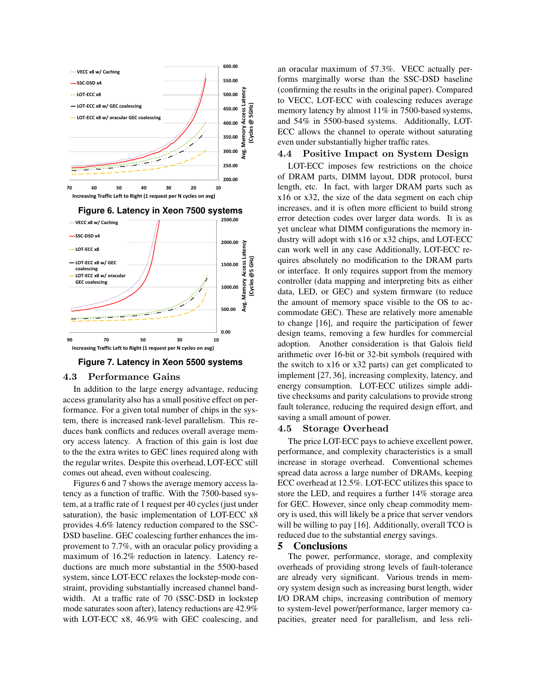

**Figure 7. Latency in Xeon 5500 systems**

#### 4.3 Performance Gains

In addition to the large energy advantage, reducing access granularity also has a small positive effect on performance. For a given total number of chips in the system, there is increased rank-level parallelism. This reduces bank conflicts and reduces overall average memory access latency. A fraction of this gain is lost due to the the extra writes to GEC lines required along with the regular writes. Despite this overhead, LOT-ECC still comes out ahead, even without coalescing.

Figures 6 and 7 shows the average memory access latency as a function of traffic. With the 7500-based system, at a traffic rate of 1 request per 40 cycles (just under saturation), the basic implementation of LOT-ECC x8 provides 4.6% latency reduction compared to the SSC-DSD baseline. GEC coalescing further enhances the improvement to 7.7%, with an oracular policy providing a maximum of 16.2% reduction in latency. Latency reductions are much more substantial in the 5500-based system, since LOT-ECC relaxes the lockstep-mode constraint, providing substantially increased channel bandwidth. At a traffic rate of 70 (SSC-DSD in lockstep mode saturates soon after), latency reductions are 42.9% with LOT-ECC x8, 46.9% with GEC coalescing, and an oracular maximum of 57.3%. VECC actually performs marginally worse than the SSC-DSD baseline (confirming the results in the original paper). Compared to VECC, LOT-ECC with coalescing reduces average memory latency by almost 11% in 7500-based systems, and 54% in 5500-based systems. Additionally, LOT-ECC allows the channel to operate without saturating even under substantially higher traffic rates.

#### 4.4 Positive Impact on System Design

LOT-ECC imposes few restrictions on the choice of DRAM parts, DIMM layout, DDR protocol, burst length, etc. In fact, with larger DRAM parts such as x16 or x32, the size of the data segment on each chip increases, and it is often more efficient to build strong error detection codes over larger data words. It is as yet unclear what DIMM configurations the memory industry will adopt with x16 or x32 chips, and LOT-ECC can work well in any case Additionally, LOT-ECC requires absolutely no modification to the DRAM parts or interface. It only requires support from the memory controller (data mapping and interpreting bits as either data, LED, or GEC) and system firmware (to reduce the amount of memory space visible to the OS to accommodate GEC). These are relatively more amenable to change [16], and require the participation of fewer design teams, removing a few hurdles for commercial adoption. Another consideration is that Galois field arithmetic over 16-bit or 32-bit symbols (required with the switch to x16 or x32 parts) can get complicated to implement [27, 36], increasing complexity, latency, and energy consumption. LOT-ECC utilizes simple additive checksums and parity calculations to provide strong fault tolerance, reducing the required design effort, and saving a small amount of power.

#### 4.5 Storage Overhead

The price LOT-ECC pays to achieve excellent power, performance, and complexity characteristics is a small increase in storage overhead. Conventional schemes spread data across a large number of DRAMs, keeping ECC overhead at 12.5%. LOT-ECC utilizes this space to store the LED, and requires a further 14% storage area for GEC. However, since only cheap commodity memory is used, this will likely be a price that server vendors will be willing to pay [16]. Additionally, overall TCO is reduced due to the substantial energy savings.

#### **5 Conclusions**

The power, performance, storage, and complexity overheads of providing strong levels of fault-tolerance are already very significant. Various trends in memory system design such as increasing burst length, wider I/O DRAM chips, increasing contribution of memory to system-level power/performance, larger memory capacities, greater need for parallelism, and less reli